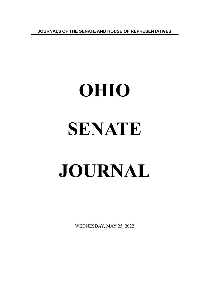**JOURNALS OF THE SENATE AND HOUSE OF REPRESENTATIVES**

# **OHIO SENATE JOURNAL**

WEDNESDAY, MAY 25, 2022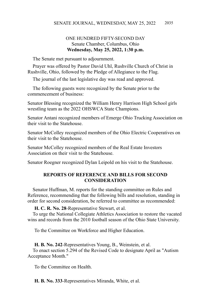# ONE HUNDRED FIFTY-SECOND DAY Senate Chamber, Columbus, Ohio **Wednesday, May 25, 2022, 1:30 p.m.**

The Senate met pursuant to adjournment.

Prayer was offered by Pastor David Uhl, Rushville Church of Christ in Rushville, Ohio, followed by the Pledge of Allegiance to the Flag.

The journal of the last legislative day was read and approved.

The following guests were recognized by the Senate prior to the commencement of business:

Senator Blessing recognized the William Henry Harrison High School girls wrestling team as the 2022 OHSWCA State Champions.

Senator Antani recognized members of Emerge Ohio Trucking Association on their visit to the Statehouse.

Senator McColley recognized members of the Ohio Electric Cooperatives on their visit to the Statehouse.

Senator McColley recognized members of the Real Estate Investors Association on their visit to the Statehouse.

Senator Roegner recognized Dylan Leipold on his visit to the Statehouse.

# **REPORTS OF REFERENCE AND BILLS FOR SECOND CONSIDERATION**

Senator Huffman, M. reports for the standing committee on Rules and Reference, recommending that the following bills and resolution, standing in order for second consideration, be referred to committee as recommended:

**H. C. R. No. 28**-Representative Stewart, et al.

To urge the National Collegiate Athletics Association to restore the vacated wins and records from the 2010 football season of the Ohio State University.

To the Committee on Workforce and Higher Education.

# **H. B. No. 242**-Representatives Young, B., Weinstein, et al.

To enact section 5.294 of the Revised Code to designate April as "Autism Acceptance Month."

To the Committee on Health.

**H. B. No. 333**-Representatives Miranda, White, et al.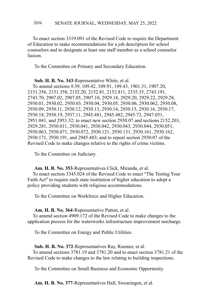#### SENATE JOURNAL, WEDNESDAY, MAY 25, 2022 2036

To enact section 3319.091 of the Revised Code to require the Department of Education to make recommendations for a job description for school counselors and to designate at least one staff member as a school counselor liaison.

To the Committee on Primary and Secondary Education.

**Sub. H. B. No. 343**-Representative White, et al.

To amend sections 9.39, 109.42, 109.91, 149.43, 1901.31, 1907.20, 2151.356, 2151.358, 2152.20, 2152.81, 2152.811, 2335.35, 2743.191, 2743.70, 2907.02, 2907.05, 2907.10, 2929.18, 2929.20, 2929.22, 2929.28, 2930.01, 2930.02, 2930.03, 2930.04, 2930.05, 2930.06, 2930.062, 2930.08, 2930.09, 2930.11, 2930.12, 2930.13, 2930.14, 2930.15, 2930.16, 2930.17, 2930.18, 2930.19, 2937.11, 2945.481, 2945.482, 2945.72, 2947.051, 2951.041, and 2953.32; to enact new section 2930.07 and sections 2152.203, 2929.281, 2930.011, 2930.041, 2930.042, 2930.043, 2930.044, 2930.051, 2930.063, 2930.071, 2930.072, 2930.121, 2930.131, 2930.161, 2930.162, 2930.171, 2930.191, and 2945.483; and to repeal section 2930.07 of the Revised Code to make changes relative to the rights of crime victims.

To the Committee on Judiciary.

## **Am. H. B. No. 353**-Representatives Click, Miranda, et al.

To enact section 3345.024 of the Revised Code to enact "The Testing Your Faith Act" to require each state institution of higher education to adopt a policy providing students with religious accommodations.

To the Committee on Workforce and Higher Education.

#### **Am. H. B. No. 364**-Representative Patton, et al.

To amend section 4909.172 of the Revised Code to make changes to the application process for the waterworks infrastructure improvement surcharge.

To the Committee on Energy and Public Utilities.

## **Sub. H. B. No. 372**-Representatives Ray, Roemer, et al. To amend sections 3781.19 and 3781.20 and to enact section 3781.21 of the Revised Code to make changes to the law relating to building inspections.

To the Committee on Small Business and Economic Opportunity.

**Am. H. B. No. 377**-Representatives Hall, Swearingen, et al.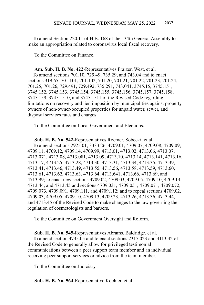To amend Section 220.11 of H.B. 168 of the 134th General Assembly to make an appropriation related to coronavirus local fiscal recovery.

To the Committee on Finance.

**Am. Sub. H. B. No. 422**-Representatives Fraizer, West, et al. To amend sections 701.10, 729.49, 735.29, and 743.04 and to enact sections 319.65, 701.101, 701.102, 701.20, 701.21, 701.22, 701.23, 701.24, 701.25, 701.26, 729.491, 729.492, 735.291, 743.041, 3745.15, 3745.151, 3745.152, 3745.153, 3745.154, 3745.155, 3745.156, 3745.157, 3745.158, 3745.159, 3745.1510, and 3745.1511 of the Revised Code regarding limitations on recovery and lien imposition by municipalities against property owners of non-owner-occupied properties for unpaid water, sewer, and disposal services rates and charges.

To the Committee on Local Government and Elections.

**Sub. H. B. No. 542**-Representatives Roemer, Sobecki, et al. To amend sections 2925.01, 3333.26, 4709.01, 4709.07, 4709.08, 4709.09, 4709.11, 4709.12, 4709.14, 4709.99, 4713.01, 4713.02, 4713.06, 4713.07, 4713.071, 4713.08, 4713.081, 4713.09, 4713.10, 4713.14, 4713.141, 4713.16, 4713.17, 4713.25, 4713.28, 4713.30, 4713.31, 4713.34, 4713.35, 4713.39, 4713.41, 4713.46, 4713.49, 4713.55, 4713.56, 4713.58, 4713.59, 4713.60, 4713.61, 4713.62, 4713.63, 4713.64, 4713.641, 4713.66, 4713.69, and 4713.99; to enact new sections 4709.02, 4709.03, 4709.05, 4709.10, 4709.13, 4713.44, and 4713.45 and sections 4709.031, 4709.051, 4709.071, 4709.072, 4709.073, 4709.091, 4709.111, and 4709.112; and to repeal sections 4709.02, 4709.03, 4709.05, 4709.10, 4709.13, 4709.23, 4713.26, 4713.36, 4713.44, and 4713.45 of the Revised Code to make changes to the law governing the regulation of cosmetologists and barbers.

To the Committee on Government Oversight and Reform.

**Sub. H. B. No. 545**-Representatives Abrams, Baldridge, et al. To amend section 4735.05 and to enact sections 2317.023 and 4113.42 of the Revised Code to generally allow for privileged testimonial communications between a peer support team member and an individual receiving peer support services or advice from the team member.

To the Committee on Judiciary.

**Sub. H. B. No. 564**-Representative Koehler, et al.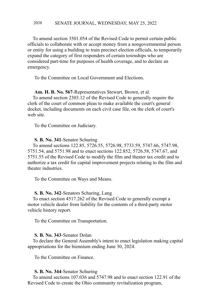#### SENATE JOURNAL, WEDNESDAY, MAY 25, 2022 2038

To amend section 3501.054 of the Revised Code to permit certain public officials to collaborate with or accept money from a nongovernmental person or entity for using a building to train precinct election officials, to temporarily expand the category of first responders of certain townships who are considered part-time for purposes of health coverage, and to declare an emergency.

To the Committee on Local Government and Elections.

# **Am. H. B. No. 567**-Representatives Stewart, Brown, et al.

To amend section 2303.12 of the Revised Code to generally require the clerk of the court of common pleas to make available the court's general docket, including documents on each civil case file, on the clerk of court's web site.

To the Committee on Judiciary.

#### **S. B. No. 341**-Senator Schuring

To amend sections 122.85, 5726.55, 5726.98, 5733.59, 5747.66, 5747.98, 5751.54, and 5751.98 and to enact sections 122.852, 5726.58, 5747.67, and 5751.55 of the Revised Code to modify the film and theater tax credit and to authorize a tax credit for capital improvement projects relating to the film and theater industries.

To the Committee on Ways and Means.

#### **S. B. No. 342**-Senators Schuring, Lang

To enact section 4517.262 of the Revised Code to generally exempt a motor vehicle dealer from liability for the contents of a third-party motor vehicle history report.

To the Committee on Transportation.

#### **S. B. No. 343**-Senator Dolan

To declare the General Assembly's intent to enact legislation making capital appropriations for the biennium ending June 30, 2024.

To the Committee on Finance.

#### **S. B. No. 344**-Senator Schuring

To amend sections 107.036 and 5747.98 and to enact section 122.91 of the Revised Code to create the Ohio community revitalization program,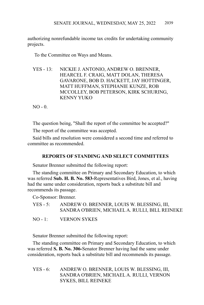authorizing nonrefundable income tax credits for undertaking community projects.

To the Committee on Ways and Means.

YES - 13: NICKIE J. ANTONIO, ANDREW O. BRENNER, HEARCEL F. CRAIG, MATT DOLAN, THERESA GAVARONE, BOB D. HACKETT, JAY HOTTINGER, MATT HUFFMAN, STEPHANIE KUNZE, ROB MCCOLLEY, BOB PETERSON, KIRK SCHURING, KENNY YUKO

 $NO - 0.$ 

The question being, "Shall the report of the committee be accepted?"

The report of the committee was accepted.

Said bills and resolution were considered a second time and referred to committee as recommended.

# **REPORTS OF STANDING AND SELECT COMMITTEES**

Senator Brenner submitted the following report:

The standing committee on Primary and Secondary Education, to which was referred **Sub. H. B. No. 583-**Representatives Bird, Jones, et al., having had the same under consideration, reports back a substitute bill and recommends its passage.

Co-Sponsor: Brenner.

YES - 5: ANDREW O. BRENNER, LOUIS W. BLESSING, III, SANDRA O'BRIEN, MICHAEL A. RULLI, BILL REINEKE

NO - 1: VERNON SYKES

Senator Brenner submitted the following report:

The standing committee on Primary and Secondary Education, to which was referred **S. B. No. 306-**Senator Brenner having had the same under consideration, reports back a substitute bill and recommends its passage.

YES - 6: ANDREW O. BRENNER, LOUIS W. BLESSING, III, SANDRA O'BRIEN, MICHAEL A. RULLI, VERNON SYKES, BILL REINEKE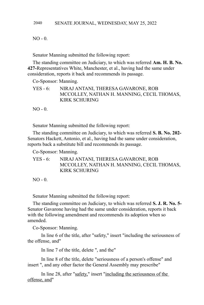$NO - 0.$ 

Senator Manning submitted the following report:

The standing committee on Judiciary, to which was referred **Am. H. B. No. 427-**Representatives White, Manchester, et al., having had the same under consideration, reports it back and recommends its passage.

Co-Sponsor: Manning.

YES - 6: NIRAJ ANTANI, THERESA GAVARONE, ROB MCCOLLEY, NATHAN H. MANNING, CECIL THOMAS, KIRK SCHURING

 $NO - 0$ .

Senator Manning submitted the following report:

The standing committee on Judiciary, to which was referred **S. B. No. 202-** Senators Hackett, Antonio, et al., having had the same under consideration, reports back a substitute bill and recommends its passage.

Co-Sponsor: Manning.

YES - 6: NIRAJ ANTANI, THERESA GAVARONE, ROB MCCOLLEY, NATHAN H. MANNING, CECIL THOMAS, KIRK SCHURING

 $NO - 0.$ 

Senator Manning submitted the following report:

The standing committee on Judiciary, to which was referred **S. J. R. No. 5-** Senator Gavarone having had the same under consideration, reports it back with the following amendment and recommends its adoption when so amended.

Co-Sponsor: Manning.

In line 6 of the title, after "safety," insert "including the seriousness of the offense, and"

In line 7 of the title, delete ", and the"

In line 8 of the title, delete "seriousness of a person's offense" and insert ", and any other factor the General Assembly may prescribe"

In line 28, after "safety," insert "including the seriousness of the offense, and"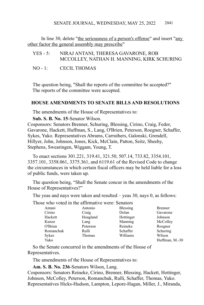In line 30, delete "the seriousness of a person's offense" and insert "any other factor the general assembly may prescribe"

| $YES - 5:$ | NIRAJ ANTANI, THERESA GAVARONE, ROB        |  |  |
|------------|--------------------------------------------|--|--|
|            | MCCOLLEY, NATHAN H. MANNING, KIRK SCHURING |  |  |
|            |                                            |  |  |

NO - 1: CECIL THOMAS

The question being, "Shall the reports of the committee be accepted?" The reports of the committee were accepted.

# **HOUSE AMENDMENTS TO SENATE BILLS AND RESOLUTIONS**

The amendments of the House of Representatives to:

**Sub. S. B. No. 15**-Senator Wilson.

Cosponsors: Senators Brenner, Schuring, Blessing, Cirino, Craig, Fedor, Gavarone, Hackett, Huffman, S., Lang, O'Brien, Peterson, Roegner, Schaffer, Sykes, Yuko. Representatives Abrams, Carruthers, Galonski, Grendell, Hillyer, John, Johnson, Jones, Kick, McClain, Patton, Seitz, Sheehy, Stephens, Swearingen, Wiggam, Young, T.

To enact sections 301.221, 319.41, 321.50, 507.14, 733.82, 3354.101, 3357.101, 3358.061, 3375.361, and 6119.61 of the Revised Code to change the circumstances in which certain fiscal officers may be held liable for a loss of public funds, were taken up.

The question being, "Shall the Senate concur in the amendments of the House of Representatives?"

The yeas and nays were taken and resulted – yeas 30, nays 0, as follows:

Those who voted in the affirmative were: Senators

| Antani    | Antonio  | <b>Blessing</b> | <b>Brenner</b> |
|-----------|----------|-----------------|----------------|
| Cirino    | Craig    | Dolan           | Gavarone       |
| Hackett   | Hoagland | Hottinger       | Johnson        |
| Kunze     | Lang     | Manning         | McColley       |
| O'Brien   | Peterson | Reineke         | Roegner        |
| Romanchuk | Rulli    | Schaffer        | Schuring       |
| Sykes     | Thomas   | Williams        | Wilson         |
| Yuko      |          |                 | Huffman, M.-30 |

So the Senate concurred in the amendments of the House of Representatives.

The amendments of the House of Representatives to:

**Am. S. B. No. 236**-Senators Wilson, Lang.

Cosponsors: Senators Reineke, Cirino, Brenner, Blessing, Hackett, Hottinger, Johnson, McColley, Peterson, Romanchuk, Rulli, Schaffer, Thomas, Yuko. Representatives Hicks-Hudson, Lampton, Lepore-Hagan, Miller, J., Miranda,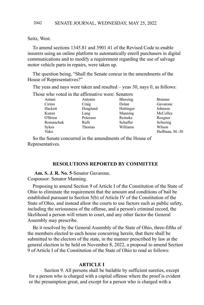Seitz, West.

To amend sections 1345.81 and 3901.41 of the Revised Code to enable insurers using an online platform to automatically enroll purchasers in digital communications and to modify a requirement regarding the use of salvage motor vehicle parts in repairs, were taken up.

The question being, "Shall the Senate concur in the amendments of the House of Representatives?"

The yeas and nays were taken and resulted – yeas 30, nays 0, as follows:

| Those who voted in the affirmative were: Senators |          |           |                |
|---------------------------------------------------|----------|-----------|----------------|
| Antani                                            | Antonio  | Blessing  | <b>Brenner</b> |
| Cirino                                            | Craig    | Dolan     | Gavarone       |
| Hackett                                           | Hoagland | Hottinger | Johnson        |
| Kunze                                             | Lang     | Manning   | McColley       |
| O'Brien                                           | Peterson | Reineke   | Roegner        |
| Romanchuk                                         | Rulli    | Schaffer  | Schuring       |
| Sykes                                             | Thomas   | Williams  | Wilson         |
| Yuko                                              |          |           | Huffman, M.-30 |

So the Senate concurred in the amendments of the House of Representatives.

#### **RESOLUTIONS REPORTED BY COMMITTEE**

**Am. S. J. R. No. 5**-Senator Gavarone.

Cosponsor: Senator Manning.

Proposing to amend Section 9 of Article I of the Constitution of the State of Ohio to eliminate the requirement that the amount and conditions of bail be established pursuant to Section 5(b) of Article IV of the Constitution of the State of Ohio, and instead allow the courts to use factors such as public safety, including the seriousness of the offense, and a person's criminal record, the likelihood a person will return to court, and any other factor the General Assembly may prescribe.

Be it resolved by the General Assembly of the State of Ohio, three-fifths of the members elected to each house concurring herein, that there shall be submitted to the electors of the state, in the manner prescribed by law at the general election to be held on November 8, 2022, a proposal to amend Section 9 of Article I of the Constitution of the State of Ohio to read as follows:

## **ARTICLE I**

Section 9. All persons shall be bailable by sufficient sureties, except for a person who is charged with a capital offense where the proof is evident or the presumption great, and except for a person who is charged with a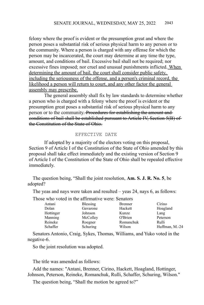felony where the proof is evident or the presumption great and where the person poses a substantial risk of serious physical harm to any person or to the community. Where a person is charged with any offense for which the person may be incarcerated, the court may determine at any time the type, amount, and conditions of bail. Excessive bail shall not be required; nor excessive fines imposed; nor cruel and unusual punishments inflicted. When determining the amount of bail, the court shall consider public safety, including the seriousness of the offense, and a person's criminal record, the likelihood a person will return to court, and any other factor the general assembly may prescribe.

The general assembly shall fix by law standards to determine whether a person who is charged with a felony where the proof is evident or the presumption great poses a substantial risk of serious physical harm to any person or to the community. Procedures for establishing the amount and conditions of bail shall be established pursuant to Article IV, Section 5(B) of the Constitution of the State of Ohio.

#### EFFECTIVE DATE

If adopted by a majority of the electors voting on this proposal, Section 9 of Article I of the Constitution of the State of Ohio amended by this proposal shall take effect immediately and the existing version of Section 9 of Article I of the Constitution of the State of Ohio shall be repealed effective immediately.

The question being, "Shall the joint resolution, **Am. S. J. R. No. 5**, be adopted?

The yeas and nays were taken and resulted – yeas 24, nays 6, as follows:

Those who voted in the affirmative were: Senators

| Antani    | <b>Blessing</b> | <b>Brenner</b> | Cirino         |
|-----------|-----------------|----------------|----------------|
| Dolan     | Gavarone        | Hackett        | Hoagland       |
| Hottinger | Johnson         | Kunze          | Lang           |
| Manning   | McColley        | O'Brien        | Peterson       |
| Reineke   | Roegner         | Romanchuk      | Rulli          |
| Schaffer  | Schuring        | Wilson         | Huffman, M.-24 |
|           |                 |                |                |

Senators Antonio, Craig, Sykes, Thomas, Williams, and Yuko voted in the negative-6.

So the joint resolution was adopted.

The title was amended as follows:

Add the names: "Antani, Brenner, Cirino, Hackett, Hoagland, Hottinger, Johnson, Peterson, Reineke, Romanchuk, Rulli, Schaffer, Schuring, Wilson."

The question being, "Shall the motion be agreed to?"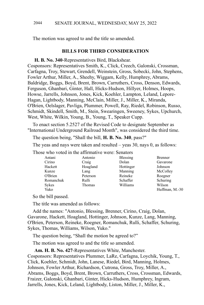The motion was agreed to and the title so amended.

## **BILLS FOR THIRD CONSIDERATION**

# **H. B. No. 340**-Representatives Bird, Blackshear.

Cosponsors: Representatives Smith, K., Click, Creech, Galonski, Crossman, Carfagna, Troy, Stewart, Grendell, Weinstein, Gross, Sobecki, John, Stephens, Fowler Arthur, Miller, A., Sheehy, Wiggam, Kelly, Humphrey, Abrams, Baldridge, Boggs, Boyd, Brent, Brown, Carruthers, Cross, Denson, Edwards, Ferguson, Ghanbari, Ginter, Hall, Hicks-Hudson, Hillyer, Holmes, Hoops, Howse, Jarrells, Johnson, Jones, Kick, Koehler, Lampton, Leland, Lepore-Hagan, Lightbody, Manning, McClain, Miller, J., Miller, K., Miranda, O'Brien, Oelslager, Pavliga, Plummer, Powell, Ray, Riedel, Robinson, Russo, Schmidt, Skindell, Smith, M., Stein, Swearingen, Sweeney, Sykes, Upchurch, West, White, Wilkin, Young, B., Young, T., Speaker Cupp.

To enact section 5.2527 of the Revised Code to designate September as "International Underground Railroad Month", was considered the third time.

The question being, "Shall the bill, **H. B. No. 340**, pass?"

The yeas and nays were taken and resulted – yeas 30, nays 0, as follows:

| Antani       | Antonio  | <b>Blessing</b> | <b>Brenner</b> |
|--------------|----------|-----------------|----------------|
| Cirino       | Craig    | Dolan           | Gavarone       |
| Hackett      | Hoagland | Hottinger       | Johnson        |
| Kunze        | Lang     | Manning         | McColley       |
| O'Brien      | Peterson | Reineke         | Roegner        |
| Romanchuk    | Rulli    | Schaffer        | Schuring       |
| <b>Sykes</b> | Thomas   | Williams        | Wilson         |
| Yuko         |          |                 | Huffman, M.-30 |

Those who voted in the affirmative were: Senators

So the bill passed.

The title was amended as follows:

Add the names: "Antonio, Blessing, Brenner, Cirino, Craig, Dolan, Gavarone, Hackett, Hoagland, Hottinger, Johnson, Kunze, Lang, Manning, O'Brien, Peterson, Reineke, Roegner, Romanchuk, Rulli, Schaffer, Schuring, Sykes, Thomas, Williams, Wilson, Yuko."

The question being, "Shall the motion be agreed to?"

The motion was agreed to and the title so amended.

**Am. H. B. No. 427**-Representatives White, Manchester. Cosponsors: Representatives Plummer, LaRe, Carfagna, Loychik, Young, T., Click, Koehler, Schmidt, John, Lanese, Riedel, Bird, Manning, Holmes, Johnson, Fowler Arthur, Richardson, Cutrona, Gross, Troy, Miller, A., Abrams, Boggs, Boyd, Brent, Brown, Carruthers, Cross, Crossman, Edwards, Fraizer, Galonski, Ghanbari, Ginter, Hicks-Hudson, Humphrey, Ingram, Jarrells, Jones, Kick, Leland, Lightbody, Liston, Miller, J., Miller, K.,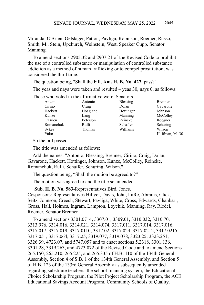Miranda, O'Brien, Oelslager, Patton, Pavliga, Robinson, Roemer, Russo, Smith, M., Stein, Upchurch, Weinstein, West, Speaker Cupp. Senator Manning.

To amend sections 2905.32 and 2907.21 of the Revised Code to prohibit the use of a controlled substance or manipulation of controlled substance addiction as a method of human trafficking or to compel prostitution, was considered the third time.

The question being, "Shall the bill, **Am. H. B. No. 427**, pass?"

The yeas and nays were taken and resulted – yeas 30, nays 0, as follows:

Those who voted in the affirmative were: Senators

| Antani    | Antonio  | Blessing  | Brenner  |
|-----------|----------|-----------|----------|
| Cirino    | Craig    | Dolan     | Gavarone |
| Hackett   | Hoagland | Hottinger | Johnson  |
| Kunze     | Lang     | Manning   | McColle  |
| O'Brien   | Peterson | Reineke   | Roegner  |
| Romanchuk | Rulli    | Schaffer  | Schuring |
| Sykes     | Thomas   | Williams  | Wilson   |
| Yuko      |          |           | Huffman  |

Dolan Gavarone Hottinger Johnson Manning McColley Williams Wilson Huffman, M.-30

So the bill passed.

The title was amended as follows:

Add the names: "Antonio, Blessing, Brenner, Cirino, Craig, Dolan, Gavarone, Hackett, Hottinger, Johnson, Kunze, McColley, Reineke, Romanchuk, Rulli, Schaffer, Schuring, Wilson."

The question being, "Shall the motion be agreed to?"

The motion was agreed to and the title so amended.

**Sub. H. B. No. 583**-Representatives Bird, Jones. Cosponsors: Representatives Hillyer, Davis, John, LaRe, Abrams, Click, Seitz, Johnson, Creech, Stewart, Pavliga, White, Cross, Edwards, Ghanbari, Gross, Hall, Holmes, Ingram, Lampton, Loychik, Manning, Ray, Riedel, Roemer. Senator Brenner.

To amend sections 3301.0714, 3307.01, 3309.01, 3310.032, 3310.70, 3313.976, 3314.016, 3314.021, 3314.074, 3317.011, 3317.014, 3317.016, 3317.017, 3317.019, 3317.0110, 3317.02, 3317.024, 3317.0212, 3317.0215, 3317.051, 3317.064, 3317.25, 3319.077, 3319.078, 3323.25, 3323.251, 3326.39, 4723.07, and 5747.057 and to enact sections 5.2318, 3301.136, 3301.28, 3319.263, and 4723.072 of the Revised Code and to amend Sections 265.150, 265.210, 265.225, and 265.335 of H.B. 110 of the 134th General Assembly, Section 4 of S.B. 1 of the 134th General Assembly, and Section 5 of H.B. 123 of the 133rd General Assembly as subsequently amended regarding substitute teachers, the school financing system, the Educational Choice Scholarship Program, the Pilot Project Scholarship Program, the ACE Educational Savings Account Program, Community Schools of Quality,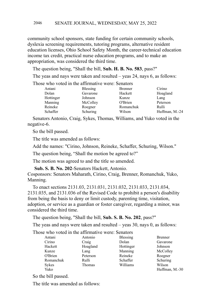community school sponsors, state funding for certain community schools, dyslexia screening requirements, tutoring programs, alternative resident education licenses, Ohio School Safety Month, the career-technical education income tax credit, practical nurse education programs, and to make an appropriation, was considered the third time.

The question being, "Shall the bill, **Sub. H. B. No. 583**, pass?"

The yeas and nays were taken and resulted – yeas 24, nays 6, as follows:

Those who voted in the affirmative were: Senators

| Antani    | <b>Blessing</b> | <b>Brenner</b> | Cirino         |
|-----------|-----------------|----------------|----------------|
| Dolan     | Gavarone        | Hackett        | Hoagland       |
| Hottinger | Johnson         | Kunze          | Lang           |
| Manning   | McColley        | O'Brien        | Peterson       |
| Reineke   | Roegner         | Romanchuk      | Rulli          |
| Schaffer  | Schuring        | Wilson         | Huffman, M.-24 |

Senators Antonio, Craig, Sykes, Thomas, Williams, and Yuko voted in the negative-6.

So the bill passed.

The title was amended as follows:

Add the names: "Cirino, Johnson, Reineke, Schaffer, Schuring, Wilson."

The question being, "Shall the motion be agreed to?"

The motion was agreed to and the title so amended.

**Sub. S. B. No. 202**-Senators Hackett, Antonio.

Cosponsors: Senators Maharath, Cirino, Craig, Brenner, Romanchuk, Yuko, Manning.

To enact sections 2131.03, 2131.031, 2131.032, 2131.033, 2131.034, 2131.035, and 2131.036 of the Revised Code to prohibit a person's disability from being the basis to deny or limit custody, parenting time, visitation, adoption, or service as a guardian or foster caregiver, regarding a minor, was considered the third time.

The question being, "Shall the bill, **Sub. S. B. No. 202**, pass?"

The yeas and nays were taken and resulted – yeas 30, nays 0, as follows:

Those who voted in the affirmative were: Senators

| <b>Blessing</b>                    |                |
|------------------------------------|----------------|
| Cirino<br>Dolan<br>Craig           | Gavarone       |
| Hoagland<br>Hackett<br>Hottinger   | Johnson        |
| Manning<br>Kunze<br>Lang           | McColley       |
| Reineke<br>O'Brien<br>Peterson     | Roegner        |
| Romanchuk<br>Schaffer<br>Rulli     | Schuring       |
| Williams<br><b>Sykes</b><br>Thomas | Wilson         |
| Yuko                               | Huffman, M.-30 |

So the bill passed.

The title was amended as follows: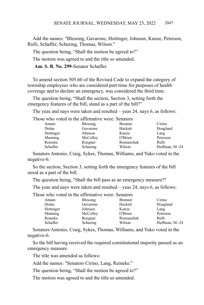Add the names: "Blessing, Gavarone, Hottinger, Johnson, Kunze, Peterson, Rulli, Schaffer, Schuring, Thomas, Wilson."

The question being, "Shall the motion be agreed to?"

The motion was agreed to and the title so amended.

**Am. S. B. No. 299**-Senator Schaffer.

To amend section 505.60 of the Revised Code to expand the category of township employees who are considered part-time for purposes of health coverage and to declare an emergency, was considered the third time.

The question being, "Shall the section, Section 3, setting forth the emergency features of the bill, stand as a part of the bill?"

The yeas and nays were taken and resulted – yeas 24, nays 6, as follows:

Those who voted in the affirmative were: Senators

| Antani    | Blessing | <b>Brenner</b> | Cirino         |
|-----------|----------|----------------|----------------|
| Dolan     | Gavarone | Hackett        | Hoagland       |
| Hottinger | Johnson  | Kunze          | Lang           |
| Manning   | McColley | O'Brien        | Peterson       |
| Reineke   | Roegner  | Romanchuk      | Rulli          |
| Schaffer  | Schuring | Wilson         | Huffman, M.-24 |

Senators Antonio, Craig, Sykes, Thomas, Williams, and Yuko voted in the negative-6.

So the section, Section 3, setting forth the emergency features of the bill stood as a part of the bill.

The question being, "Shall the bill pass as an emergency measure?"

The yeas and nays were taken and resulted – yeas 24, nays 6, as follows:

Those who voted in the affirmative were: Senators

| Antani    | <b>Blessing</b> | <b>Brenner</b> | Cirino         |
|-----------|-----------------|----------------|----------------|
| Dolan     | Gavarone        | Hackett        | Hoagland       |
| Hottinger | Johnson         | Kunze          | Lang           |
| Manning   | McColley        | O'Brien        | Peterson       |
| Reineke   | Roegner         | Romanchuk      | Rulli          |
| Schaffer  | Schuring        | Wilson         | Huffman, M.-24 |

Senators Antonio, Craig, Sykes, Thomas, Williams, and Yuko voted in the negative-6.

So the bill having received the required constitutional majority passed as an emergency measure.

The title was amended as follows:

Add the names: "Senators Cirino, Lang, Reineke."

The question being, "Shall the motion be agreed to?"

The motion was agreed to and the title so amended.